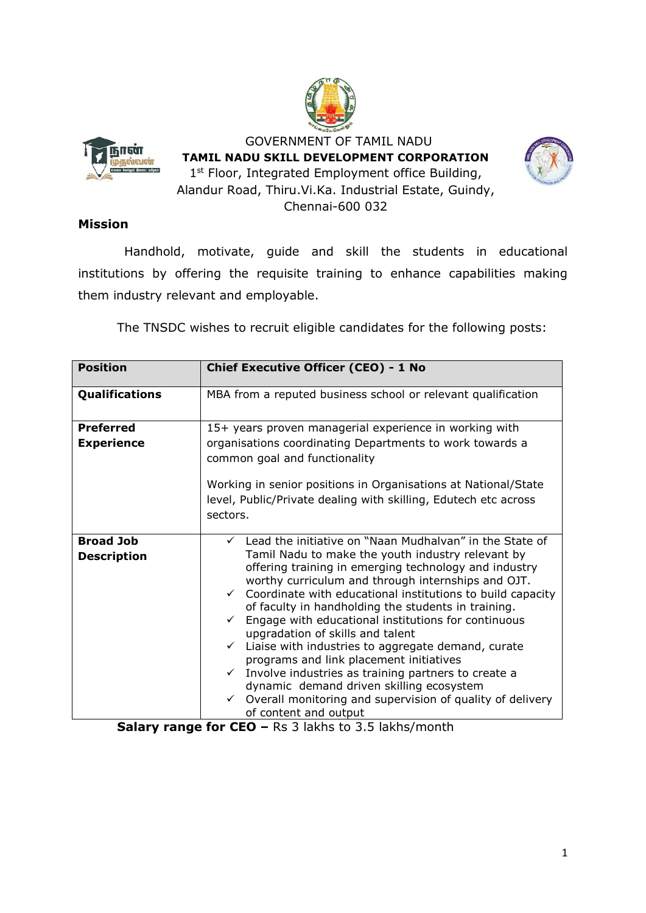



 GOVERNMENT OF TAMIL NADU **TAMIL NADU SKILL DEVELOPMENT CORPORATION** 1<sup>st</sup> Floor, Integrated Employment office Building, Alandur Road, Thiru.Vi.Ka. Industrial Estate, Guindy, Chennai-600 032



#### **Mission**

Handhold, motivate, guide and skill the students in educational institutions by offering the requisite training to enhance capabilities making them industry relevant and employable.

The TNSDC wishes to recruit eligible candidates for the following posts:

| <b>Position</b>                        | <b>Chief Executive Officer (CEO) - 1 No</b>                                                                                                                                                                                                                                                                                                                                                                                                                                                                                                                                                                                                                                                                                                                                                                     |
|----------------------------------------|-----------------------------------------------------------------------------------------------------------------------------------------------------------------------------------------------------------------------------------------------------------------------------------------------------------------------------------------------------------------------------------------------------------------------------------------------------------------------------------------------------------------------------------------------------------------------------------------------------------------------------------------------------------------------------------------------------------------------------------------------------------------------------------------------------------------|
| <b>Qualifications</b>                  | MBA from a reputed business school or relevant qualification                                                                                                                                                                                                                                                                                                                                                                                                                                                                                                                                                                                                                                                                                                                                                    |
| <b>Preferred</b><br><b>Experience</b>  | 15+ years proven managerial experience in working with<br>organisations coordinating Departments to work towards a                                                                                                                                                                                                                                                                                                                                                                                                                                                                                                                                                                                                                                                                                              |
|                                        | common goal and functionality<br>Working in senior positions in Organisations at National/State<br>level, Public/Private dealing with skilling, Edutech etc across<br>sectors.                                                                                                                                                                                                                                                                                                                                                                                                                                                                                                                                                                                                                                  |
| <b>Broad Job</b><br><b>Description</b> | $\checkmark$ Lead the initiative on "Naan Mudhalvan" in the State of<br>Tamil Nadu to make the youth industry relevant by<br>offering training in emerging technology and industry<br>worthy curriculum and through internships and OJT.<br>$\checkmark$ Coordinate with educational institutions to build capacity<br>of faculty in handholding the students in training.<br>Engage with educational institutions for continuous<br>$\checkmark$<br>upgradation of skills and talent<br>Liaise with industries to aggregate demand, curate<br>$\checkmark$<br>programs and link placement initiatives<br>Involve industries as training partners to create a<br>$\checkmark$<br>dynamic demand driven skilling ecosystem<br>Overall monitoring and supervision of quality of delivery<br>of content and output |

**Salary range for CEO –** Rs 3 lakhs to 3.5 lakhs/month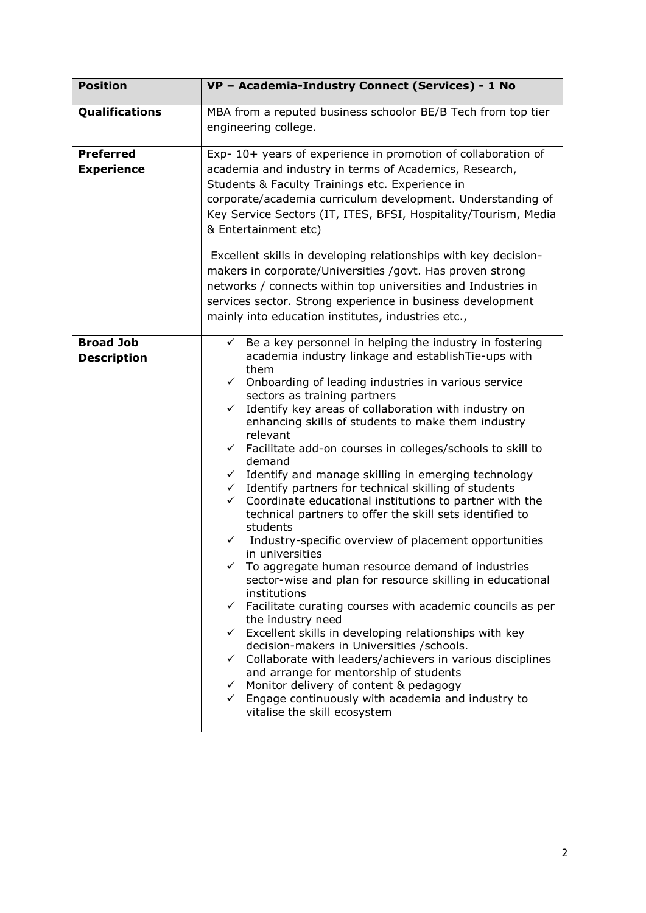| <b>Position</b>                        | VP - Academia-Industry Connect (Services) - 1 No                                                                                                                                                                                                                                                                                                                                                                                                                                                                                                                                                                                                                                                                                                                                                                                                                                                                                                                                                                                                                                                                                                                                                                                                                                                                                                                                                                                                                                           |
|----------------------------------------|--------------------------------------------------------------------------------------------------------------------------------------------------------------------------------------------------------------------------------------------------------------------------------------------------------------------------------------------------------------------------------------------------------------------------------------------------------------------------------------------------------------------------------------------------------------------------------------------------------------------------------------------------------------------------------------------------------------------------------------------------------------------------------------------------------------------------------------------------------------------------------------------------------------------------------------------------------------------------------------------------------------------------------------------------------------------------------------------------------------------------------------------------------------------------------------------------------------------------------------------------------------------------------------------------------------------------------------------------------------------------------------------------------------------------------------------------------------------------------------------|
| Qualifications                         | MBA from a reputed business schoolor BE/B Tech from top tier<br>engineering college.                                                                                                                                                                                                                                                                                                                                                                                                                                                                                                                                                                                                                                                                                                                                                                                                                                                                                                                                                                                                                                                                                                                                                                                                                                                                                                                                                                                                       |
| <b>Preferred</b><br><b>Experience</b>  | Exp- 10+ years of experience in promotion of collaboration of<br>academia and industry in terms of Academics, Research,<br>Students & Faculty Trainings etc. Experience in<br>corporate/academia curriculum development. Understanding of<br>Key Service Sectors (IT, ITES, BFSI, Hospitality/Tourism, Media<br>& Entertainment etc)<br>Excellent skills in developing relationships with key decision-<br>makers in corporate/Universities /govt. Has proven strong<br>networks / connects within top universities and Industries in<br>services sector. Strong experience in business development<br>mainly into education institutes, industries etc.,                                                                                                                                                                                                                                                                                                                                                                                                                                                                                                                                                                                                                                                                                                                                                                                                                                  |
| <b>Broad Job</b><br><b>Description</b> | Be a key personnel in helping the industry in fostering<br>$\checkmark$<br>academia industry linkage and establish Tie-ups with<br>them<br>Onboarding of leading industries in various service<br>$\checkmark$<br>sectors as training partners<br>Identify key areas of collaboration with industry on<br>✓<br>enhancing skills of students to make them industry<br>relevant<br>$\checkmark$ Facilitate add-on courses in colleges/schools to skill to<br>demand<br>$\checkmark$ Identify and manage skilling in emerging technology<br>$\checkmark$ Identify partners for technical skilling of students<br>Coordinate educational institutions to partner with the<br>$\checkmark$<br>technical partners to offer the skill sets identified to<br>students<br>Industry-specific overview of placement opportunities<br>$\checkmark$<br>in universities<br>To aggregate human resource demand of industries<br>sector-wise and plan for resource skilling in educational<br>institutions<br>$\checkmark$ Facilitate curating courses with academic councils as per<br>the industry need<br>$\checkmark$ Excellent skills in developing relationships with key<br>decision-makers in Universities / schools.<br>$\checkmark$ Collaborate with leaders/achievers in various disciplines<br>and arrange for mentorship of students<br>$\checkmark$ Monitor delivery of content & pedagogy<br>$\checkmark$ Engage continuously with academia and industry to<br>vitalise the skill ecosystem |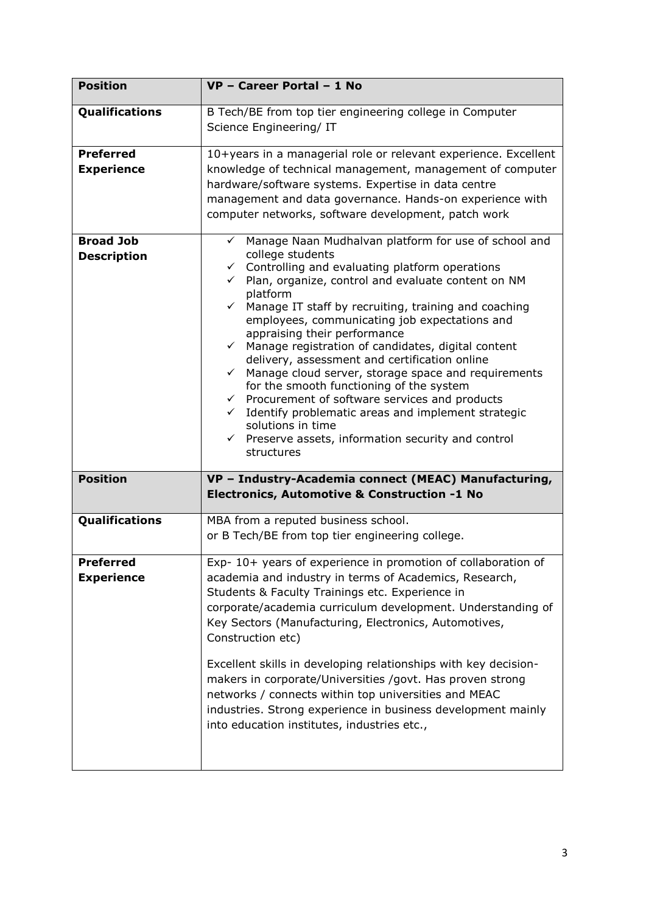| <b>Position</b>                        | VP - Career Portal - 1 No                                                                                                                                                                                                                                                                                                                                                                                                                                                                                                                                                                                                                                                                                                                                                                                                                        |
|----------------------------------------|--------------------------------------------------------------------------------------------------------------------------------------------------------------------------------------------------------------------------------------------------------------------------------------------------------------------------------------------------------------------------------------------------------------------------------------------------------------------------------------------------------------------------------------------------------------------------------------------------------------------------------------------------------------------------------------------------------------------------------------------------------------------------------------------------------------------------------------------------|
| Qualifications                         | B Tech/BE from top tier engineering college in Computer<br>Science Engineering/ IT                                                                                                                                                                                                                                                                                                                                                                                                                                                                                                                                                                                                                                                                                                                                                               |
| <b>Preferred</b><br><b>Experience</b>  | 10+years in a managerial role or relevant experience. Excellent<br>knowledge of technical management, management of computer<br>hardware/software systems. Expertise in data centre<br>management and data governance. Hands-on experience with<br>computer networks, software development, patch work                                                                                                                                                                                                                                                                                                                                                                                                                                                                                                                                           |
| <b>Broad Job</b><br><b>Description</b> | Manage Naan Mudhalvan platform for use of school and<br>✓<br>college students<br>Controlling and evaluating platform operations<br>$\checkmark$<br>Plan, organize, control and evaluate content on NM<br>platform<br>Manage IT staff by recruiting, training and coaching<br>$\checkmark$<br>employees, communicating job expectations and<br>appraising their performance<br>Manage registration of candidates, digital content<br>$\checkmark$<br>delivery, assessment and certification online<br>Manage cloud server, storage space and requirements<br>$\checkmark$<br>for the smooth functioning of the system<br>Procurement of software services and products<br>$\checkmark$<br>Identify problematic areas and implement strategic<br>solutions in time<br>$\checkmark$ Preserve assets, information security and control<br>structures |
| <b>Position</b>                        | VP - Industry-Academia connect (MEAC) Manufacturing,<br>Electronics, Automotive & Construction -1 No                                                                                                                                                                                                                                                                                                                                                                                                                                                                                                                                                                                                                                                                                                                                             |
| Qualifications                         | MBA from a reputed business school.<br>or B Tech/BE from top tier engineering college.                                                                                                                                                                                                                                                                                                                                                                                                                                                                                                                                                                                                                                                                                                                                                           |
| <b>Preferred</b><br><b>Experience</b>  | Exp- 10+ years of experience in promotion of collaboration of<br>academia and industry in terms of Academics, Research,<br>Students & Faculty Trainings etc. Experience in<br>corporate/academia curriculum development. Understanding of<br>Key Sectors (Manufacturing, Electronics, Automotives,<br>Construction etc)<br>Excellent skills in developing relationships with key decision-<br>makers in corporate/Universities /govt. Has proven strong<br>networks / connects within top universities and MEAC<br>industries. Strong experience in business development mainly<br>into education institutes, industries etc.,                                                                                                                                                                                                                   |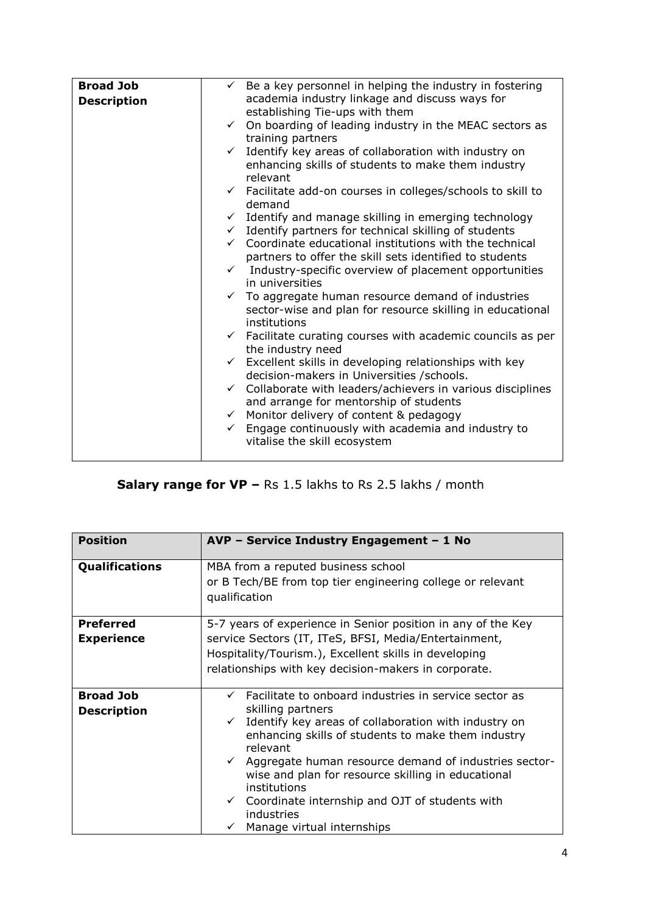| <b>Broad Job</b>   | $\checkmark$ Be a key personnel in helping the industry in fostering      |
|--------------------|---------------------------------------------------------------------------|
| <b>Description</b> | academia industry linkage and discuss ways for                            |
|                    | establishing Tie-ups with them                                            |
|                    | $\checkmark$ On boarding of leading industry in the MEAC sectors as       |
|                    | training partners                                                         |
|                    | $\checkmark$ Identify key areas of collaboration with industry on         |
|                    | enhancing skills of students to make them industry<br>relevant            |
|                    | $\checkmark$ Facilitate add-on courses in colleges/schools to skill to    |
|                    | demand                                                                    |
|                    | $\checkmark$ Identify and manage skilling in emerging technology          |
|                    | $\checkmark$ Identify partners for technical skilling of students         |
|                    | $\checkmark$ Coordinate educational institutions with the technical       |
|                    | partners to offer the skill sets identified to students                   |
|                    | $\checkmark$ Industry-specific overview of placement opportunities        |
|                    | in universities                                                           |
|                    | $\checkmark$ To aggregate human resource demand of industries             |
|                    | sector-wise and plan for resource skilling in educational                 |
|                    | institutions                                                              |
|                    | $\checkmark$ Facilitate curating courses with academic councils as per    |
|                    | the industry need                                                         |
|                    |                                                                           |
|                    | $\checkmark$ Excellent skills in developing relationships with key        |
|                    | decision-makers in Universities / schools.                                |
|                    | Collaborate with leaders/achievers in various disciplines<br>$\checkmark$ |
|                    | and arrange for mentorship of students                                    |
|                    | $\checkmark$ Monitor delivery of content & pedagogy                       |
|                    | Engage continuously with academia and industry to<br>$\checkmark$         |
|                    | vitalise the skill ecosystem                                              |
|                    |                                                                           |

# **Salary range for VP –** Rs 1.5 lakhs to Rs 2.5 lakhs / month

| <b>Position</b>                        | AVP - Service Industry Engagement - 1 No                                                                                                                                                                                                                                                                                                                                                                                                                                    |
|----------------------------------------|-----------------------------------------------------------------------------------------------------------------------------------------------------------------------------------------------------------------------------------------------------------------------------------------------------------------------------------------------------------------------------------------------------------------------------------------------------------------------------|
| Qualifications                         | MBA from a reputed business school<br>or B Tech/BE from top tier engineering college or relevant<br>qualification                                                                                                                                                                                                                                                                                                                                                           |
| <b>Preferred</b><br><b>Experience</b>  | 5-7 years of experience in Senior position in any of the Key<br>service Sectors (IT, ITeS, BFSI, Media/Entertainment,<br>Hospitality/Tourism.), Excellent skills in developing<br>relationships with key decision-makers in corporate.                                                                                                                                                                                                                                      |
| <b>Broad Job</b><br><b>Description</b> | $\checkmark$ Facilitate to onboard industries in service sector as<br>skilling partners<br>Identify key areas of collaboration with industry on<br>enhancing skills of students to make them industry<br>relevant<br>$\checkmark$ Aggregate human resource demand of industries sector-<br>wise and plan for resource skilling in educational<br>institutions<br>Coordinate internship and OJT of students with<br>$\checkmark$<br>industries<br>Manage virtual internships |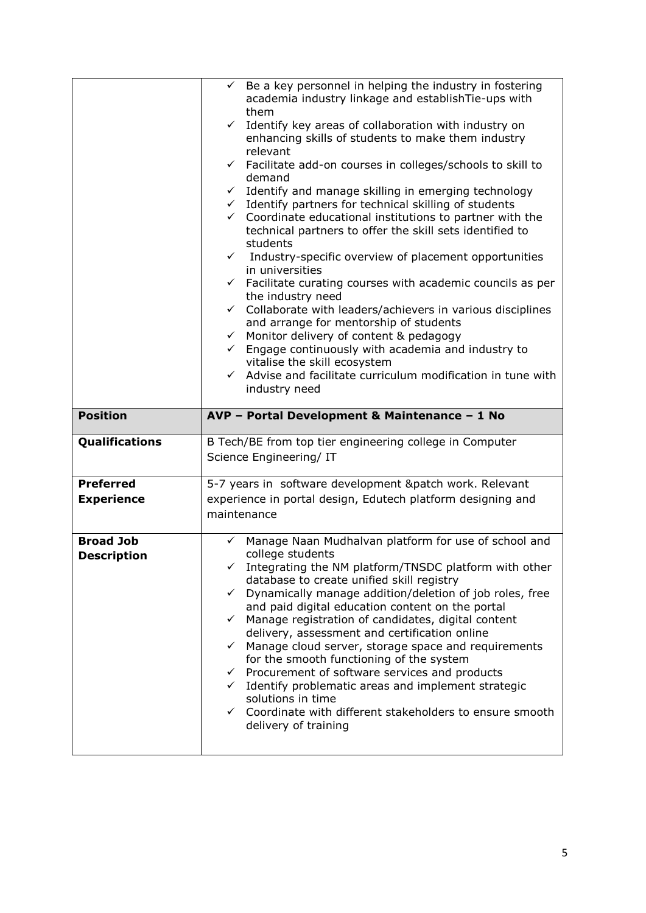|                                        | Be a key personnel in helping the industry in fostering<br>$\checkmark$<br>academia industry linkage and establishTie-ups with<br>them<br>Identify key areas of collaboration with industry on<br>$\checkmark$<br>enhancing skills of students to make them industry<br>relevant<br>$\checkmark$ Facilitate add-on courses in colleges/schools to skill to<br>demand<br>$\checkmark$ Identify and manage skilling in emerging technology<br>$\checkmark$ Identify partners for technical skilling of students<br>$\checkmark$ Coordinate educational institutions to partner with the<br>technical partners to offer the skill sets identified to<br>students<br>$\checkmark$ Industry-specific overview of placement opportunities<br>in universities<br>$\checkmark$ Facilitate curating courses with academic councils as per<br>the industry need<br>$\checkmark$ Collaborate with leaders/achievers in various disciplines<br>and arrange for mentorship of students<br>$\checkmark$ Monitor delivery of content & pedagogy<br>$\checkmark$ Engage continuously with academia and industry to<br>vitalise the skill ecosystem<br>$\checkmark$ Advise and facilitate curriculum modification in tune with<br>industry need |
|----------------------------------------|--------------------------------------------------------------------------------------------------------------------------------------------------------------------------------------------------------------------------------------------------------------------------------------------------------------------------------------------------------------------------------------------------------------------------------------------------------------------------------------------------------------------------------------------------------------------------------------------------------------------------------------------------------------------------------------------------------------------------------------------------------------------------------------------------------------------------------------------------------------------------------------------------------------------------------------------------------------------------------------------------------------------------------------------------------------------------------------------------------------------------------------------------------------------------------------------------------------------------------|
| <b>Position</b>                        | AVP - Portal Development & Maintenance - 1 No                                                                                                                                                                                                                                                                                                                                                                                                                                                                                                                                                                                                                                                                                                                                                                                                                                                                                                                                                                                                                                                                                                                                                                                  |
| Qualifications                         | B Tech/BE from top tier engineering college in Computer<br>Science Engineering/ IT                                                                                                                                                                                                                                                                                                                                                                                                                                                                                                                                                                                                                                                                                                                                                                                                                                                                                                                                                                                                                                                                                                                                             |
| <b>Preferred</b>                       | 5-7 years in software development &patch work. Relevant                                                                                                                                                                                                                                                                                                                                                                                                                                                                                                                                                                                                                                                                                                                                                                                                                                                                                                                                                                                                                                                                                                                                                                        |
| <b>Experience</b>                      | experience in portal design, Edutech platform designing and<br>maintenance                                                                                                                                                                                                                                                                                                                                                                                                                                                                                                                                                                                                                                                                                                                                                                                                                                                                                                                                                                                                                                                                                                                                                     |
| <b>Broad Job</b><br><b>Description</b> | Manage Naan Mudhalvan platform for use of school and<br>✓<br>college students<br>Integrating the NM platform/TNSDC platform with other<br>database to create unified skill registry<br>$\checkmark$ Dynamically manage addition/deletion of job roles, free<br>and paid digital education content on the portal<br>$\checkmark$ Manage registration of candidates, digital content<br>delivery, assessment and certification online<br>$\checkmark$ Manage cloud server, storage space and requirements<br>for the smooth functioning of the system<br>$\checkmark$ Procurement of software services and products<br>$\checkmark$ Identify problematic areas and implement strategic                                                                                                                                                                                                                                                                                                                                                                                                                                                                                                                                           |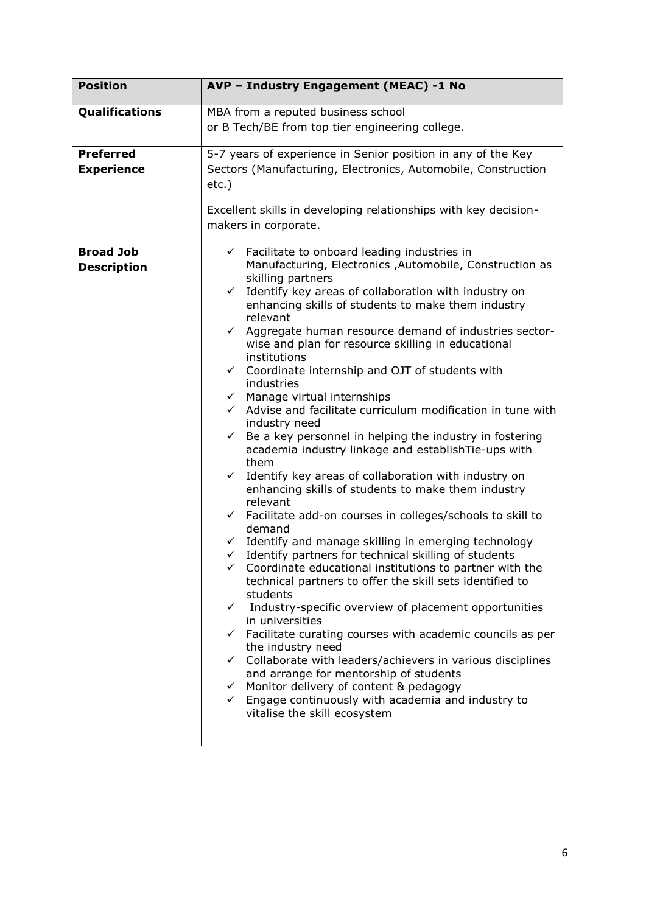| <b>Position</b>    | AVP - Industry Engagement (MEAC) -1 No                                                                                           |
|--------------------|----------------------------------------------------------------------------------------------------------------------------------|
| Qualifications     | MBA from a reputed business school                                                                                               |
|                    | or B Tech/BE from top tier engineering college.                                                                                  |
| <b>Preferred</b>   | 5-7 years of experience in Senior position in any of the Key                                                                     |
| <b>Experience</b>  | Sectors (Manufacturing, Electronics, Automobile, Construction                                                                    |
|                    | $etc.$ )                                                                                                                         |
|                    | Excellent skills in developing relationships with key decision-                                                                  |
|                    | makers in corporate.                                                                                                             |
| <b>Broad Job</b>   | $\checkmark$ Facilitate to onboard leading industries in                                                                         |
| <b>Description</b> | Manufacturing, Electronics, Automobile, Construction as                                                                          |
|                    | skilling partners<br>Identify key areas of collaboration with industry on<br>$\checkmark$                                        |
|                    | enhancing skills of students to make them industry                                                                               |
|                    | relevant                                                                                                                         |
|                    | Aggregate human resource demand of industries sector-<br>$\checkmark$<br>wise and plan for resource skilling in educational      |
|                    | institutions                                                                                                                     |
|                    | Coordinate internship and OJT of students with<br>$\checkmark$                                                                   |
|                    | industries<br>Manage virtual internships<br>$\checkmark$                                                                         |
|                    | Advise and facilitate curriculum modification in tune with<br>$\checkmark$                                                       |
|                    | industry need<br>Be a key personnel in helping the industry in fostering<br>$\checkmark$                                         |
|                    | academia industry linkage and establishTie-ups with                                                                              |
|                    | them                                                                                                                             |
|                    | Identify key areas of collaboration with industry on<br>$\checkmark$<br>enhancing skills of students to make them industry       |
|                    | relevant                                                                                                                         |
|                    | $\checkmark$ Facilitate add-on courses in colleges/schools to skill to<br>demand                                                 |
|                    | $\checkmark$ Identify and manage skilling in emerging technology                                                                 |
|                    | Identify partners for technical skilling of students<br>$\checkmark$                                                             |
|                    | $\checkmark$ Coordinate educational institutions to partner with the<br>technical partners to offer the skill sets identified to |
|                    | students                                                                                                                         |
|                    | $\checkmark$ Industry-specific overview of placement opportunities<br>in universities                                            |
|                    | $\checkmark$ Facilitate curating courses with academic councils as per                                                           |
|                    | the industry need                                                                                                                |
|                    | $\checkmark$ Collaborate with leaders/achievers in various disciplines<br>and arrange for mentorship of students                 |
|                    | $\checkmark$ Monitor delivery of content & pedagogy                                                                              |
|                    | $\checkmark$ Engage continuously with academia and industry to                                                                   |
|                    | vitalise the skill ecosystem                                                                                                     |
|                    |                                                                                                                                  |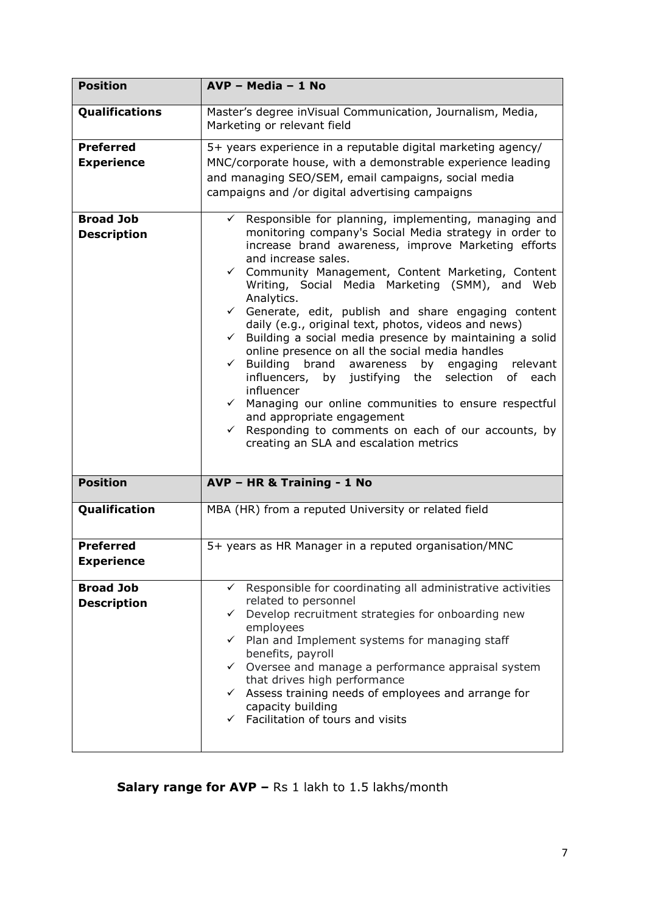| <b>Position</b>                        | AVP - Media - 1 No                                                                                                                                                                                                                                                                                                                                                                                                                                                                                                                                                                                                                                                                                                                                                                                                                                                                                                            |
|----------------------------------------|-------------------------------------------------------------------------------------------------------------------------------------------------------------------------------------------------------------------------------------------------------------------------------------------------------------------------------------------------------------------------------------------------------------------------------------------------------------------------------------------------------------------------------------------------------------------------------------------------------------------------------------------------------------------------------------------------------------------------------------------------------------------------------------------------------------------------------------------------------------------------------------------------------------------------------|
| Qualifications                         | Master's degree inVisual Communication, Journalism, Media,<br>Marketing or relevant field                                                                                                                                                                                                                                                                                                                                                                                                                                                                                                                                                                                                                                                                                                                                                                                                                                     |
| <b>Preferred</b><br><b>Experience</b>  | 5+ years experience in a reputable digital marketing agency/<br>MNC/corporate house, with a demonstrable experience leading<br>and managing SEO/SEM, email campaigns, social media<br>campaigns and /or digital advertising campaigns                                                                                                                                                                                                                                                                                                                                                                                                                                                                                                                                                                                                                                                                                         |
| <b>Broad Job</b><br><b>Description</b> | $\checkmark$ Responsible for planning, implementing, managing and<br>monitoring company's Social Media strategy in order to<br>increase brand awareness, improve Marketing efforts<br>and increase sales.<br>← Community Management, Content Marketing, Content<br>Writing, Social Media Marketing (SMM), and Web<br>Analytics.<br>$\checkmark$ Generate, edit, publish and share engaging content<br>daily (e.g., original text, photos, videos and news)<br>$\checkmark$ Building a social media presence by maintaining a solid<br>online presence on all the social media handles<br>$\checkmark$ Building brand awareness<br>by engaging relevant<br>influencers, by justifying the selection of each<br>influencer<br>$\checkmark$ Managing our online communities to ensure respectful<br>and appropriate engagement<br>← Responding to comments on each of our accounts, by<br>creating an SLA and escalation metrics |
| <b>Position</b>                        | AVP - HR & Training - 1 No                                                                                                                                                                                                                                                                                                                                                                                                                                                                                                                                                                                                                                                                                                                                                                                                                                                                                                    |
| Qualification                          | MBA (HR) from a reputed University or related field                                                                                                                                                                                                                                                                                                                                                                                                                                                                                                                                                                                                                                                                                                                                                                                                                                                                           |
| <b>Preferred</b><br><b>Experience</b>  | 5+ years as HR Manager in a reputed organisation/MNC                                                                                                                                                                                                                                                                                                                                                                                                                                                                                                                                                                                                                                                                                                                                                                                                                                                                          |
| <b>Broad Job</b><br><b>Description</b> | $\checkmark$ Responsible for coordinating all administrative activities<br>related to personnel<br>$\checkmark$ Develop recruitment strategies for onboarding new<br>employees<br>$\checkmark$ Plan and Implement systems for managing staff<br>benefits, payroll<br>$\checkmark$ Oversee and manage a performance appraisal system<br>that drives high performance<br>$\checkmark$ Assess training needs of employees and arrange for<br>capacity building<br>$\checkmark$ Facilitation of tours and visits                                                                                                                                                                                                                                                                                                                                                                                                                  |

**Salary range for AVP - Rs 1 lakh to 1.5 lakhs/month**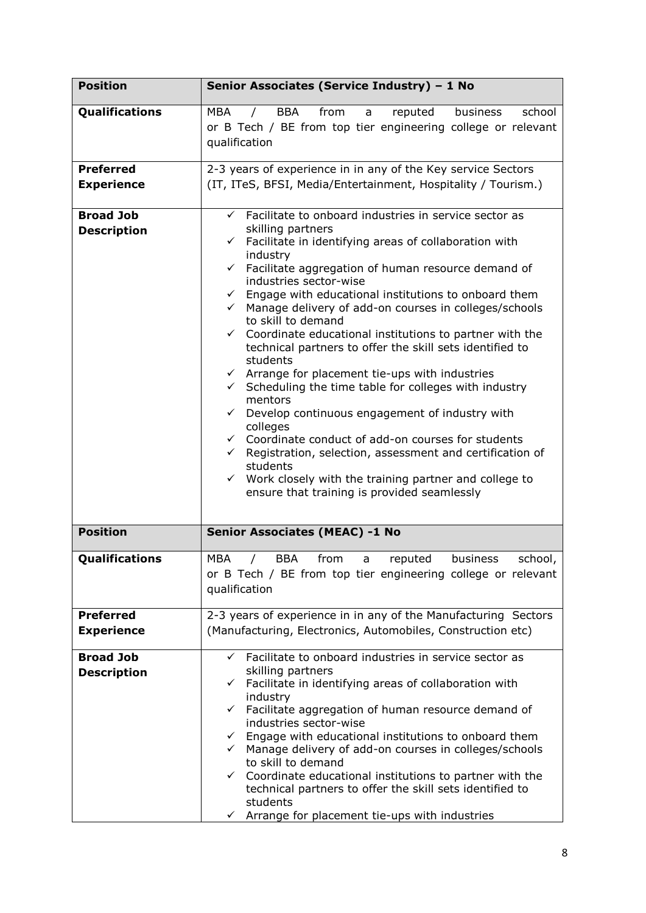| <b>Position</b>                        | Senior Associates (Service Industry) - 1 No                                                                                                                                                                                                                                                                                                                                                                                                                                                                                                                                                                                                                                                                                                                                                                                                                                                                                                                                                                                                                                                                    |
|----------------------------------------|----------------------------------------------------------------------------------------------------------------------------------------------------------------------------------------------------------------------------------------------------------------------------------------------------------------------------------------------------------------------------------------------------------------------------------------------------------------------------------------------------------------------------------------------------------------------------------------------------------------------------------------------------------------------------------------------------------------------------------------------------------------------------------------------------------------------------------------------------------------------------------------------------------------------------------------------------------------------------------------------------------------------------------------------------------------------------------------------------------------|
| Qualifications                         | <b>MBA</b><br>BBA<br>from<br>business<br>school<br>$\sqrt{2}$<br>reputed<br>a<br>or B Tech / BE from top tier engineering college or relevant<br>qualification                                                                                                                                                                                                                                                                                                                                                                                                                                                                                                                                                                                                                                                                                                                                                                                                                                                                                                                                                 |
| <b>Preferred</b><br><b>Experience</b>  | 2-3 years of experience in in any of the Key service Sectors<br>(IT, ITeS, BFSI, Media/Entertainment, Hospitality / Tourism.)                                                                                                                                                                                                                                                                                                                                                                                                                                                                                                                                                                                                                                                                                                                                                                                                                                                                                                                                                                                  |
| <b>Broad Job</b><br><b>Description</b> | $\checkmark$ Facilitate to onboard industries in service sector as<br>skilling partners<br>Facilitate in identifying areas of collaboration with<br>$\checkmark$<br>industry<br>Facilitate aggregation of human resource demand of<br>$\checkmark$<br>industries sector-wise<br>Engage with educational institutions to onboard them<br>$\checkmark$<br>Manage delivery of add-on courses in colleges/schools<br>$\checkmark$<br>to skill to demand<br>$\checkmark$ Coordinate educational institutions to partner with the<br>technical partners to offer the skill sets identified to<br>students<br>$\checkmark$ Arrange for placement tie-ups with industries<br>Scheduling the time table for colleges with industry<br>$\checkmark$<br>mentors<br>Develop continuous engagement of industry with<br>$\checkmark$<br>colleges<br>$\checkmark$ Coordinate conduct of add-on courses for students<br>$\checkmark$ Registration, selection, assessment and certification of<br>students<br>$\checkmark$ Work closely with the training partner and college to<br>ensure that training is provided seamlessly |
| <b>Position</b>                        | <b>Senior Associates (MEAC) -1 No</b>                                                                                                                                                                                                                                                                                                                                                                                                                                                                                                                                                                                                                                                                                                                                                                                                                                                                                                                                                                                                                                                                          |
| Qualifications                         | MBA<br><b>BBA</b><br>from<br>business<br>school.<br>reputed<br>a<br>or B Tech / BE from top tier engineering college or relevant<br>qualification                                                                                                                                                                                                                                                                                                                                                                                                                                                                                                                                                                                                                                                                                                                                                                                                                                                                                                                                                              |
| <b>Preferred</b><br><b>Experience</b>  | 2-3 years of experience in in any of the Manufacturing Sectors<br>(Manufacturing, Electronics, Automobiles, Construction etc)                                                                                                                                                                                                                                                                                                                                                                                                                                                                                                                                                                                                                                                                                                                                                                                                                                                                                                                                                                                  |
| <b>Broad Job</b><br><b>Description</b> | ← Facilitate to onboard industries in service sector as<br>skilling partners<br>Facilitate in identifying areas of collaboration with<br>$\checkmark$<br>industry<br>Facilitate aggregation of human resource demand of<br>$\checkmark$<br>industries sector-wise<br>$\checkmark$ Engage with educational institutions to onboard them<br>← Manage delivery of add-on courses in colleges/schools<br>to skill to demand<br>Coordinate educational institutions to partner with the<br>$\checkmark$<br>technical partners to offer the skill sets identified to<br>students<br>Arrange for placement tie-ups with industries<br>$\checkmark$                                                                                                                                                                                                                                                                                                                                                                                                                                                                    |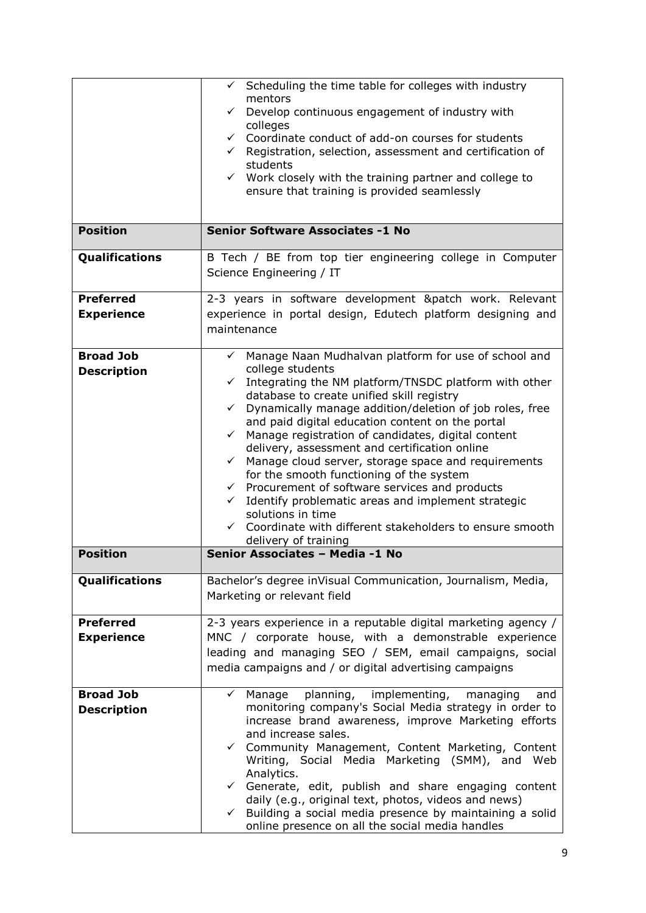|                    | $\checkmark$ Scheduling the time table for colleges with industry<br>mentors<br>Develop continuous engagement of industry with<br>✓<br>colleges<br>$\checkmark$ Coordinate conduct of add-on courses for students<br>$\checkmark$ Registration, selection, assessment and certification of<br>students<br>$\checkmark$ Work closely with the training partner and college to<br>ensure that training is provided seamlessly |
|--------------------|-----------------------------------------------------------------------------------------------------------------------------------------------------------------------------------------------------------------------------------------------------------------------------------------------------------------------------------------------------------------------------------------------------------------------------|
| <b>Position</b>    | <b>Senior Software Associates -1 No</b>                                                                                                                                                                                                                                                                                                                                                                                     |
| Qualifications     | B Tech / BE from top tier engineering college in Computer<br>Science Engineering / IT                                                                                                                                                                                                                                                                                                                                       |
| <b>Preferred</b>   | 2-3 years in software development &patch work. Relevant                                                                                                                                                                                                                                                                                                                                                                     |
| <b>Experience</b>  | experience in portal design, Edutech platform designing and<br>maintenance                                                                                                                                                                                                                                                                                                                                                  |
| <b>Broad Job</b>   | √ Manage Naan Mudhalvan platform for use of school and                                                                                                                                                                                                                                                                                                                                                                      |
| <b>Description</b> | college students                                                                                                                                                                                                                                                                                                                                                                                                            |
|                    | Integrating the NM platform/TNSDC platform with other<br>$\checkmark$<br>database to create unified skill registry                                                                                                                                                                                                                                                                                                          |
|                    | Dynamically manage addition/deletion of job roles, free<br>$\checkmark$                                                                                                                                                                                                                                                                                                                                                     |
|                    | and paid digital education content on the portal                                                                                                                                                                                                                                                                                                                                                                            |
|                    | Manage registration of candidates, digital content<br>$\checkmark$                                                                                                                                                                                                                                                                                                                                                          |
|                    | delivery, assessment and certification online<br>$\checkmark$ Manage cloud server, storage space and requirements                                                                                                                                                                                                                                                                                                           |
|                    | for the smooth functioning of the system                                                                                                                                                                                                                                                                                                                                                                                    |
|                    | $\checkmark$ Procurement of software services and products                                                                                                                                                                                                                                                                                                                                                                  |
|                    | Identify problematic areas and implement strategic<br>$\checkmark$                                                                                                                                                                                                                                                                                                                                                          |
|                    | solutions in time<br>Coordinate with different stakeholders to ensure smooth<br>$\checkmark$                                                                                                                                                                                                                                                                                                                                |
|                    | delivery of training                                                                                                                                                                                                                                                                                                                                                                                                        |
| <b>Position</b>    | Senior Associates - Media -1 No                                                                                                                                                                                                                                                                                                                                                                                             |
| Qualifications     | Bachelor's degree inVisual Communication, Journalism, Media,<br>Marketing or relevant field                                                                                                                                                                                                                                                                                                                                 |
| <b>Preferred</b>   | 2-3 years experience in a reputable digital marketing agency /                                                                                                                                                                                                                                                                                                                                                              |
| <b>Experience</b>  | MNC / corporate house, with a demonstrable experience                                                                                                                                                                                                                                                                                                                                                                       |
|                    | leading and managing SEO / SEM, email campaigns, social                                                                                                                                                                                                                                                                                                                                                                     |
|                    | media campaigns and / or digital advertising campaigns                                                                                                                                                                                                                                                                                                                                                                      |
| <b>Broad Job</b>   | planning, implementing,<br>$\checkmark$ Manage<br>managing<br>and                                                                                                                                                                                                                                                                                                                                                           |
| <b>Description</b> | monitoring company's Social Media strategy in order to                                                                                                                                                                                                                                                                                                                                                                      |
|                    | increase brand awareness, improve Marketing efforts                                                                                                                                                                                                                                                                                                                                                                         |
|                    | and increase sales.<br>✓ Community Management, Content Marketing, Content                                                                                                                                                                                                                                                                                                                                                   |
|                    | Writing, Social Media Marketing (SMM), and Web<br>Analytics.                                                                                                                                                                                                                                                                                                                                                                |
|                    | $\checkmark$ Generate, edit, publish and share engaging content                                                                                                                                                                                                                                                                                                                                                             |
|                    | daily (e.g., original text, photos, videos and news)                                                                                                                                                                                                                                                                                                                                                                        |
|                    | $\checkmark$ Building a social media presence by maintaining a solid<br>online presence on all the social media handles                                                                                                                                                                                                                                                                                                     |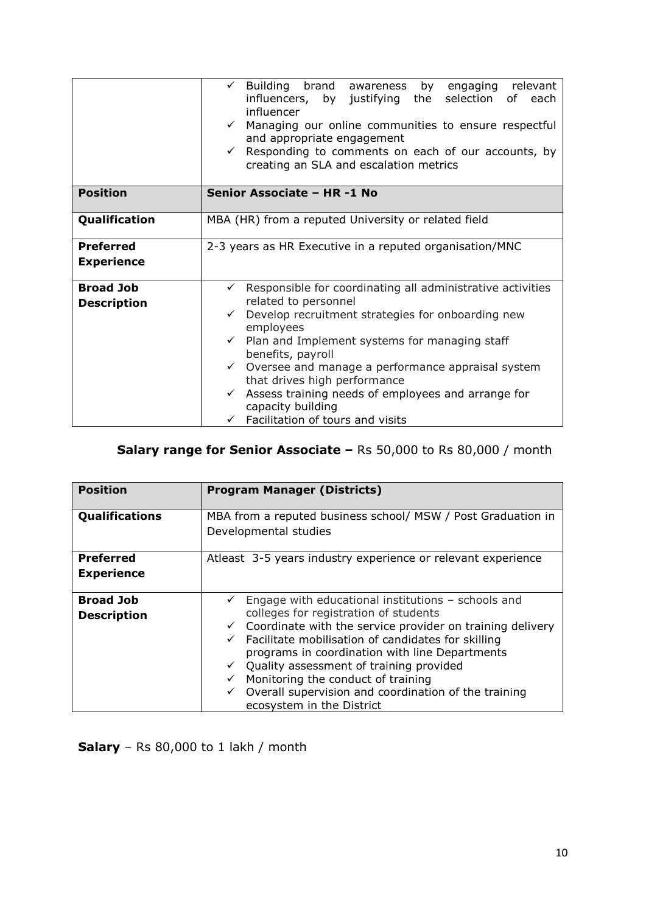|                    | Building brand awareness<br>$\checkmark$<br>by engaging relevant<br>influencers, by justifying the selection of each<br>influencer<br>Managing our online communities to ensure respectful<br>$\checkmark$<br>and appropriate engagement<br>Responding to comments on each of our accounts, by<br>$\checkmark$<br>creating an SLA and escalation metrics |
|--------------------|----------------------------------------------------------------------------------------------------------------------------------------------------------------------------------------------------------------------------------------------------------------------------------------------------------------------------------------------------------|
| <b>Position</b>    | Senior Associate - HR-1 No                                                                                                                                                                                                                                                                                                                               |
| Qualification      | MBA (HR) from a reputed University or related field                                                                                                                                                                                                                                                                                                      |
| <b>Preferred</b>   | 2-3 years as HR Executive in a reputed organisation/MNC                                                                                                                                                                                                                                                                                                  |
| <b>Experience</b>  |                                                                                                                                                                                                                                                                                                                                                          |
| <b>Broad Job</b>   | Responsible for coordinating all administrative activities<br>$\checkmark$<br>related to personnel                                                                                                                                                                                                                                                       |
| <b>Description</b> | Develop recruitment strategies for onboarding new<br>$\checkmark$<br>employees                                                                                                                                                                                                                                                                           |
|                    | Plan and Implement systems for managing staff<br>benefits, payroll                                                                                                                                                                                                                                                                                       |
|                    | Oversee and manage a performance appraisal system<br>$\checkmark$<br>that drives high performance                                                                                                                                                                                                                                                        |
|                    | Assess training needs of employees and arrange for<br>$\checkmark$<br>capacity building                                                                                                                                                                                                                                                                  |
|                    | Facilitation of tours and visits                                                                                                                                                                                                                                                                                                                         |

## **Salary range for Senior Associate –** Rs 50,000 to Rs 80,000 / month

| <b>Position</b>                        | <b>Program Manager (Districts)</b>                                                                                                                                                                                                                                                                                                                                                                                                                     |
|----------------------------------------|--------------------------------------------------------------------------------------------------------------------------------------------------------------------------------------------------------------------------------------------------------------------------------------------------------------------------------------------------------------------------------------------------------------------------------------------------------|
|                                        |                                                                                                                                                                                                                                                                                                                                                                                                                                                        |
| Qualifications                         | MBA from a reputed business school/ MSW / Post Graduation in<br>Developmental studies                                                                                                                                                                                                                                                                                                                                                                  |
| <b>Preferred</b>                       | Atleast 3-5 years industry experience or relevant experience                                                                                                                                                                                                                                                                                                                                                                                           |
| <b>Experience</b>                      |                                                                                                                                                                                                                                                                                                                                                                                                                                                        |
| <b>Broad Job</b><br><b>Description</b> | Engage with educational institutions - schools and<br>colleges for registration of students<br>Coordinate with the service provider on training delivery<br>Facilitate mobilisation of candidates for skilling<br>$\checkmark$<br>programs in coordination with line Departments<br>Quality assessment of training provided<br>Monitoring the conduct of training<br>Overall supervision and coordination of the training<br>ecosystem in the District |

**Salary** – Rs 80,000 to 1 lakh / month